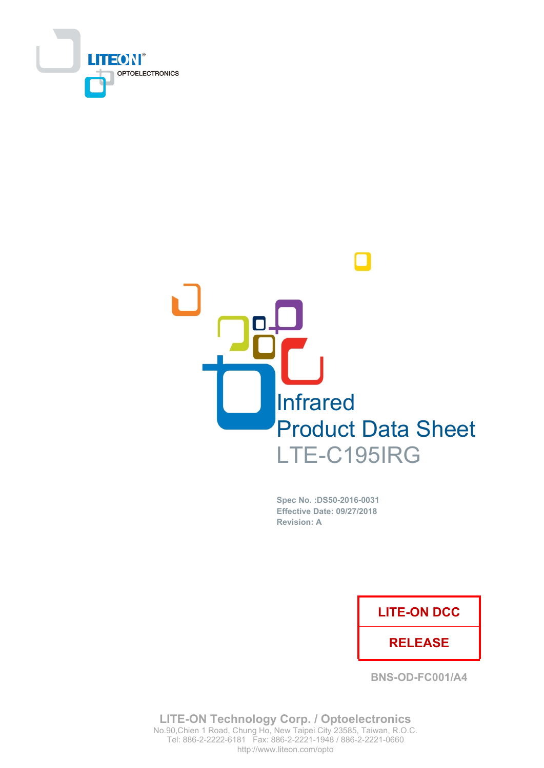



Spec No. : DS50-2016-0031 **Effective Date: 09/27/2018 Revision: A** 

### **LITE-ON DCC**

### **RELEASE**

**BNS-OD-FC001/A4** 

**LITE-ON Technology Corp. / Optoelectronics** No.90, Chien 1 Road, Chung Ho, New Taipei City 23585, Taiwan, R.O.C. Tel: 886-2-2222-6181 Fax: 886-2-2221-1948 / 886-2-2221-0660 http://www.liteon.com/opto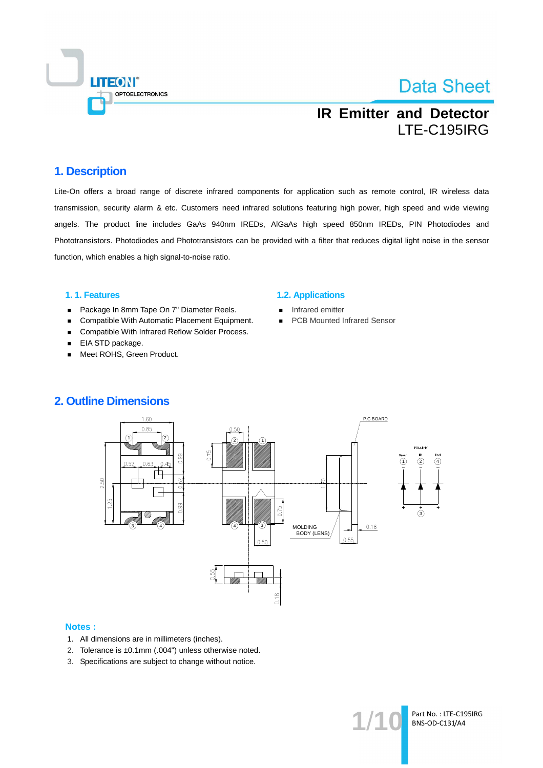

## **IR Emitter and Detector** LTE-C195IRG

### 1. Description

Lite-On offers a broad range of discrete infrared components for application such as remote control, IR wireless data transmission, security alarm & etc. Customers need infrared solutions featuring high power, high speed and wide viewing angels. The product line includes GaAs 940nm IREDs, AIGaAs high speed 850nm IREDs, PIN Photodiodes and Phototransistors. Photodiodes and Phototransistors can be provided with a filter that reduces digital light noise in the sensor function, which enables a high signal-to-noise ratio.

#### 1.1. Features

- Package In 8mm Tape On 7" Diameter Reels.  $\blacksquare$
- Compatible With Automatic Placement Equipment.  $\blacksquare$
- Compatible With Infrared Reflow Solder Process.  $\blacksquare$
- EIA STD package.  $\blacksquare$
- Meet ROHS, Green Product.  $\blacksquare$

#### **1.2. Applications**

- Infrared emitter  $\blacksquare$
- **PCB Mounted Infrared Sensor**  $\blacksquare$



### **2. Outline Dimensions**

#### **Notes:**

- 1. All dimensions are in millimeters (inches).
- 2. Tolerance is ±0.1mm (.004") unless otherwise noted.
- 3. Specifications are subject to change without notice.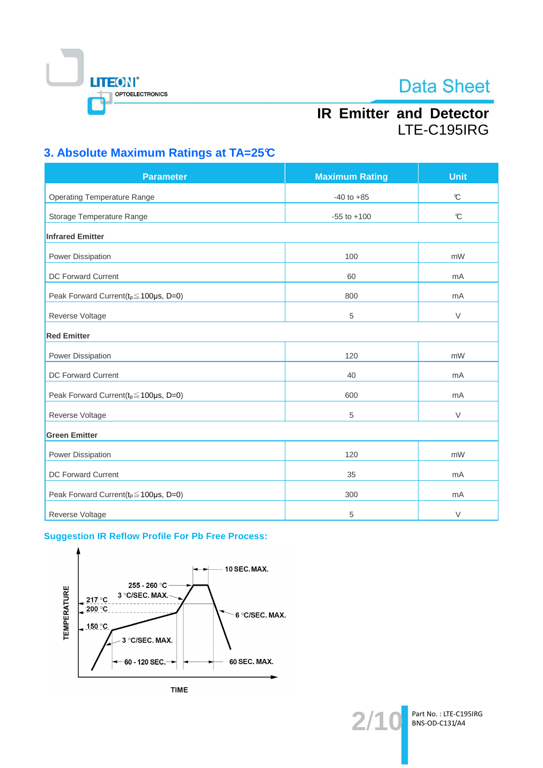

## **IR Emitter and Detector** LTE-C195IRG

## 3. Absolute Maximum Ratings at TA=25°C

| <b>Parameter</b>                                 | <b>Maximum Rating</b> | <b>Unit</b>   |  |  |
|--------------------------------------------------|-----------------------|---------------|--|--|
| <b>Operating Temperature Range</b>               | $-40$ to $+85$        | $\mathcal{C}$ |  |  |
| Storage Temperature Range                        | $-55$ to $+100$       | $\mathcal{C}$ |  |  |
| <b>Infrared Emitter</b>                          |                       |               |  |  |
| Power Dissipation                                | 100                   | mW            |  |  |
| DC Forward Current                               | 60                    | mA            |  |  |
| Peak Forward Current( $t_p \le 100 \mu s$ , D=0) | 800                   | mA            |  |  |
| Reverse Voltage                                  | 5                     | $\vee$        |  |  |
| <b>Red Emitter</b>                               |                       |               |  |  |
| Power Dissipation                                | 120                   | mW            |  |  |
| DC Forward Current                               | 40                    | mA            |  |  |
| Peak Forward Current( $t_p \le 100 \mu s$ , D=0) | 600                   | mA            |  |  |
| Reverse Voltage                                  | $\overline{5}$        | $\vee$        |  |  |
| <b>Green Emitter</b>                             |                       |               |  |  |
| Power Dissipation                                | 120                   | mW            |  |  |
| <b>DC Forward Current</b>                        | 35                    | mA            |  |  |
| Peak Forward Current( $t_p \le 100 \mu s$ , D=0) | 300                   | mA            |  |  |
| Reverse Voltage                                  | 5                     | $\vee$        |  |  |

### **Suggestion IR Reflow Profile For Pb Free Process:**



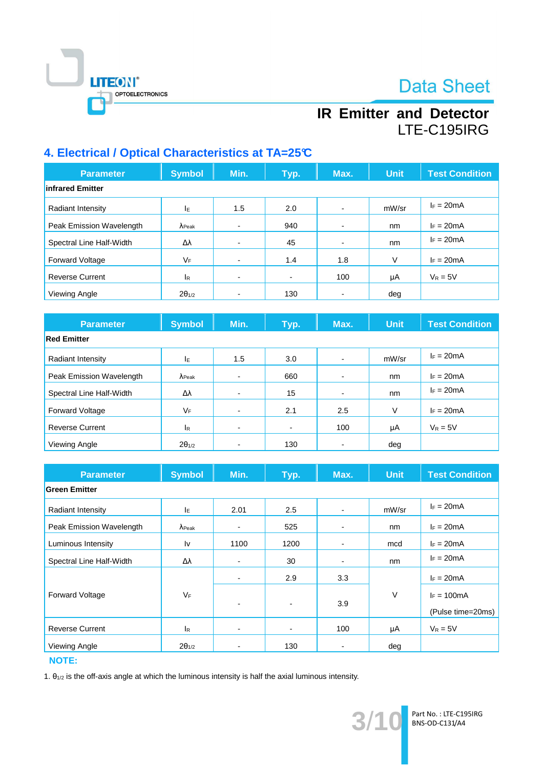

## **IR Emitter and Detector** LTE-C195IRG

### 4. Electrical / Optical Characteristics at TA=25°C

| <b>Parameter</b>         | <b>Symbol</b>   | Min. | Typ.           | Max.                     | <b>Unit</b> | <b>Test Condition</b> |
|--------------------------|-----------------|------|----------------|--------------------------|-------------|-----------------------|
| infrared Emitter         |                 |      |                |                          |             |                       |
| Radiant Intensity        | IE.             | 1.5  | 2.0            |                          | mW/sr       | $I_F = 20mA$          |
| Peak Emission Wavelength | $\lambda$ Peak  |      | 940            | $\overline{\phantom{0}}$ | nm          | $I_F = 20mA$          |
| Spectral Line Half-Width | Δλ              | -    | 45             | $\overline{\phantom{0}}$ | nm          | $I_F = 20mA$          |
| <b>Forward Voltage</b>   | VF              | -    | 1.4            | 1.8                      | V           | $I_F = 20mA$          |
| <b>Reverse Current</b>   | <sub>lR</sub>   | -    | $\blacksquare$ | 100                      | μA          | $V_R = 5V$            |
| Viewing Angle            | $2\theta_{1/2}$ |      | 130            | $\overline{\phantom{0}}$ | deg         |                       |

| <b>Parameter</b>         | <b>Symbol</b>   | Min.                     | Typ. | Max.                     | <b>Unit</b> | <b>Test Condition</b> |
|--------------------------|-----------------|--------------------------|------|--------------------------|-------------|-----------------------|
| <b>Red Emitter</b>       |                 |                          |      |                          |             |                       |
| Radiant Intensity        | ΙE              | 1.5                      | 3.0  | $\overline{\phantom{0}}$ | mW/sr       | $I_F = 20mA$          |
| Peak Emission Wavelength | $\lambda$ Peak  |                          | 660  | $\overline{\phantom{0}}$ | nm          | $I_F = 20mA$          |
| Spectral Line Half-Width | Δλ              |                          | 15   |                          | nm          | $I_F = 20mA$          |
| <b>Forward Voltage</b>   | VF              |                          | 2.1  | 2.5                      | V           | $I_F = 20mA$          |
| <b>Reverse Current</b>   | <sup>I</sup> R  | $\overline{\phantom{a}}$ | ۰    | 100                      | μA          | $V_R = 5V$            |
| Viewing Angle            | $2\theta_{1/2}$ |                          | 130  |                          | deg         |                       |

| <b>Parameter</b>         | <b>Symbol</b>   | Min.                     | Typ.                     | Max.           | <b>Unit</b> | <b>Test Condition</b> |
|--------------------------|-----------------|--------------------------|--------------------------|----------------|-------------|-----------------------|
| <b>Green Emitter</b>     |                 |                          |                          |                |             |                       |
| <b>Radiant Intensity</b> | ΙE              | 2.01                     | 2.5                      | $\blacksquare$ | mW/sr       | $I_F = 20mA$          |
| Peak Emission Wavelength | $\lambda$ Peak  | $\overline{\phantom{0}}$ | 525                      |                | nm          | $I_F = 20mA$          |
| Luminous Intensity       | Iv              | 1100                     | 1200                     |                | mcd         | $I_F = 20mA$          |
| Spectral Line Half-Width | Δλ              | $\overline{\phantom{0}}$ | 30                       | $\blacksquare$ | nm          | $I_F = 20mA$          |
|                          |                 |                          | 2.9                      | 3.3            |             | $I_F = 20mA$          |
| Forward Voltage          | VF              | $\blacksquare$           | $\overline{\phantom{a}}$ | 3.9            | $\vee$      | $I_F = 100mA$         |
|                          |                 |                          |                          |                |             | (Pulse time=20ms)     |
| <b>Reverse Current</b>   | <b>IR</b>       | -                        | $\blacksquare$           | 100            | μA          | $V_R = 5V$            |
| Viewing Angle            | $2\theta_{1/2}$ |                          | 130                      |                | deg         |                       |

**NOTE:** 

1.  $\theta_{1/2}$  is the off-axis angle at which the luminous intensity is half the axial luminous intensity.

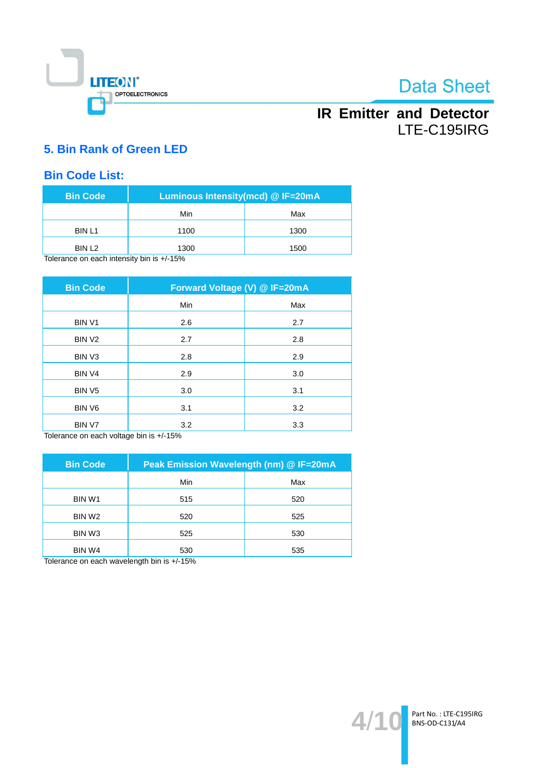

## **IR Emitter and Detector** LTE-C195IRG

### 5. Bin Rank of Green LED

### **Bin Code List:**

| <b>Bin Code</b>                          | Luminous Intensity(mcd) @ IF=20mA |      |  |  |
|------------------------------------------|-----------------------------------|------|--|--|
|                                          | Min                               | Max  |  |  |
| <b>BIN L1</b>                            | 1100                              | 1300 |  |  |
| BIN L <sub>2</sub>                       | 1300                              | 1500 |  |  |
| Tolorongo on opphintonsity bin is 1/150/ |                                   |      |  |  |

Tolerance on each intensity bin is +/-15%

| <b>Bin Code</b>    | Forward Voltage (V) @ IF=20mA |     |  |  |
|--------------------|-------------------------------|-----|--|--|
|                    | Min                           | Max |  |  |
| <b>BINV1</b>       | 2.6                           | 2.7 |  |  |
| BIN <sub>V2</sub>  | 2.7                           | 2.8 |  |  |
| BIN <sub>V3</sub>  | 2.8                           | 2.9 |  |  |
| BIN <sub>V4</sub>  | 2.9                           | 3.0 |  |  |
| BIN <sub>V5</sub>  | 3.0                           | 3.1 |  |  |
| BIN V6             | 3.1                           | 3.2 |  |  |
| BIN V7<br>$ \cdot$ | 3.2                           | 3.3 |  |  |

Tolerance on each voltage bin is +/-15%

| <b>Bin Code</b>    | Peak Emission Wavelength (nm) @ IF=20mA |     |  |  |
|--------------------|-----------------------------------------|-----|--|--|
|                    | Min                                     | Max |  |  |
| BIN W1             | 515                                     | 520 |  |  |
| BIN W <sub>2</sub> | 520                                     | 525 |  |  |
| BIN W <sub>3</sub> | 525                                     | 530 |  |  |
| BIN W4             | 530                                     | 535 |  |  |

Tolerance on each wavelength bin is +/-15%

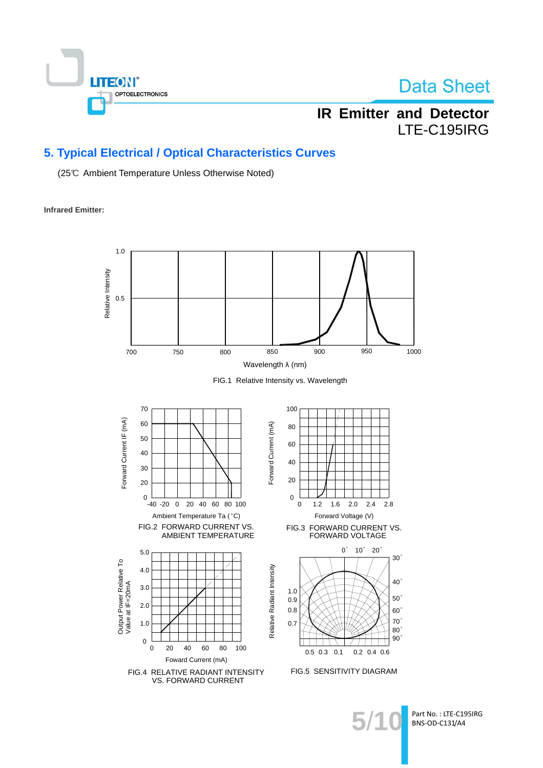

## **IR Emitter and Detector** LTE-C195IRG

### 5. Typical Electrical / Optical Characteristics Curves

(25℃ Ambient Temperature Unless Otherwise Noted)

**Infrared Emitter:** 

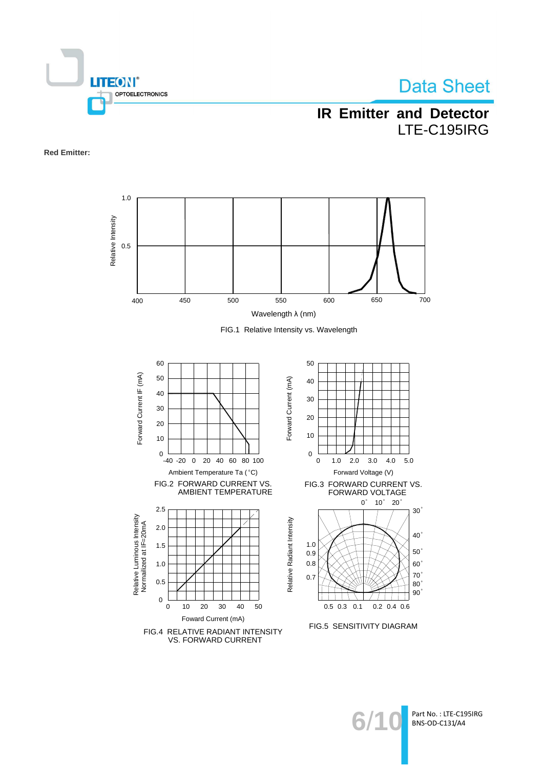

## **IR Emitter and Detector** LTE-C195IRG

**Red Emitter:** 



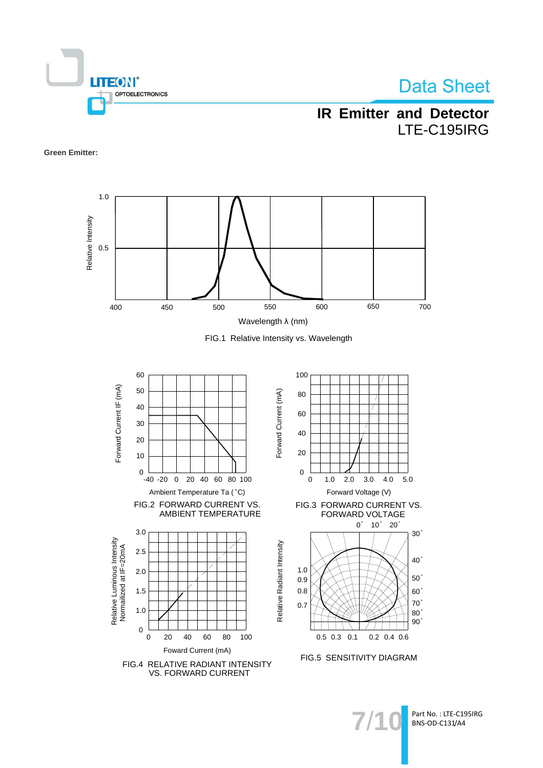

## **IR Emitter and Detector** LTE-C195IRG

#### **Green Emitter:**







**VS. FORWARD CURRENT**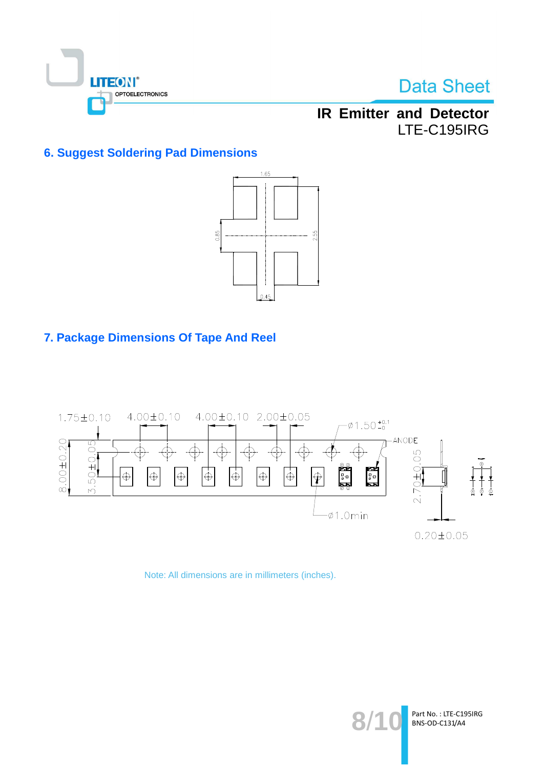

**IR Emitter and Detector** LTE-C195IRG

### **6. Suggest Soldering Pad Dimensions**



### 7. Package Dimensions Of Tape And Reel



Note: All dimensions are in millimeters (inches).

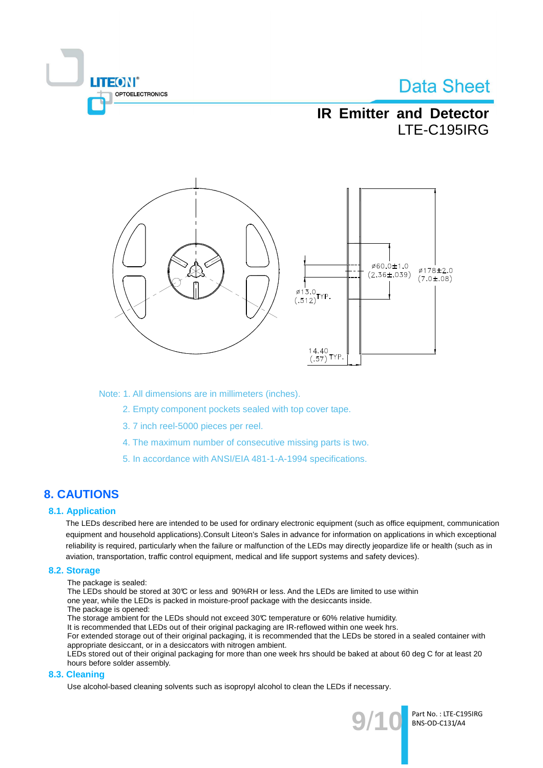

## **IR Emitter and Detector** ITE-C195IRG



Note: 1. All dimensions are in millimeters (inches).

- 2. Empty component pockets sealed with top cover tape.
- 3.7 inch reel-5000 pieces per reel.
- 4. The maximum number of consecutive missing parts is two.
- 5. In accordance with ANSI/EIA 481-1-A-1994 specifications.

### **8. CAUTIONS**

#### **8.1. Application**

The LEDs described here are intended to be used for ordinary electronic equipment (such as office equipment, communication equipment and household applications). Consult Liteon's Sales in advance for information on applications in which exceptional reliability is required, particularly when the failure or malfunction of the LEDs may directly jeopardize life or health (such as in aviation, transportation, traffic control equipment, medical and life support systems and safety devices).

#### 8.2. Storage

The package is sealed:

The LEDs should be stored at 30℃ or less and 90%RH or less. And the LEDs are limited to use within

- one year, while the LEDs is packed in moisture-proof package with the desiccants inside.
- The package is opened:

The storage ambient for the LEDs should not exceed 30°C temperature or 60% relative humidity.

It is recommended that LEDs out of their original packaging are IR-reflowed within one week hrs.

For extended storage out of their original packaging, it is recommended that the LEDs be stored in a sealed container with appropriate desiccant, or in a desiccators with nitrogen ambient.

LEDs stored out of their original packaging for more than one week hrs should be baked at about 60 deg C for at least 20 hours before solder assembly.

#### 8.3. Cleaning

Use alcohol-based cleaning solvents such as isopropyl alcohol to clean the LEDs if necessary.